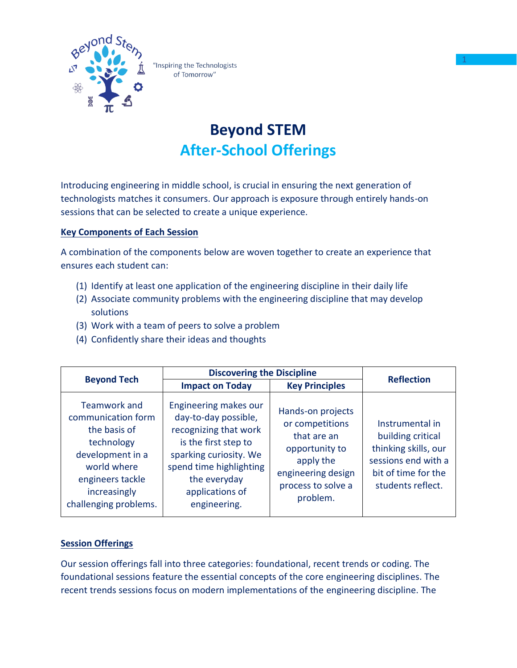

"Inspiring the Technologists of Tomorrow"

## **Beyond STEM After-School Offerings**

Introducing engineering in middle school, is crucial in ensuring the next generation of technologists matches it consumers. Our approach is exposure through entirely hands-on sessions that can be selected to create a unique experience.

## **Key Components of Each Session**

A combination of the components below are woven together to create an experience that ensures each student can:

- (1) Identify at least one application of the engineering discipline in their daily life
- (2) Associate community problems with the engineering discipline that may develop solutions
- (3) Work with a team of peers to solve a problem
- (4) Confidently share their ideas and thoughts

|                                                                                                                                                                         | <b>Discovering the Discipline</b>                                                                                                                                                                      |                                                                                                                                            | <b>Reflection</b>                                                                                                               |  |
|-------------------------------------------------------------------------------------------------------------------------------------------------------------------------|--------------------------------------------------------------------------------------------------------------------------------------------------------------------------------------------------------|--------------------------------------------------------------------------------------------------------------------------------------------|---------------------------------------------------------------------------------------------------------------------------------|--|
| <b>Beyond Tech</b>                                                                                                                                                      | <b>Impact on Today</b>                                                                                                                                                                                 | <b>Key Principles</b>                                                                                                                      |                                                                                                                                 |  |
| <b>Teamwork and</b><br>communication form<br>the basis of<br>technology<br>development in a<br>world where<br>engineers tackle<br>increasingly<br>challenging problems. | Engineering makes our<br>day-to-day possible,<br>recognizing that work<br>is the first step to<br>sparking curiosity. We<br>spend time highlighting<br>the everyday<br>applications of<br>engineering. | Hands-on projects<br>or competitions<br>that are an<br>opportunity to<br>apply the<br>engineering design<br>process to solve a<br>problem. | Instrumental in<br>building critical<br>thinking skills, our<br>sessions end with a<br>bit of time for the<br>students reflect. |  |

## **Session Offerings**

Our session offerings fall into three categories: foundational, recent trends or coding. The foundational sessions feature the essential concepts of the core engineering disciplines. The recent trends sessions focus on modern implementations of the engineering discipline. The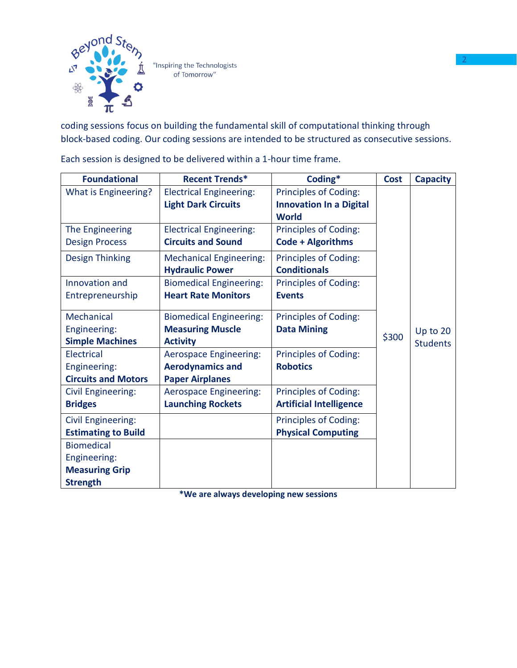

coding sessions focus on building the fundamental skill of computational thinking through block-based coding. Our coding sessions are intended to be structured as consecutive sessions.

| <b>Foundational</b>        | <b>Recent Trends*</b>          | Coding*                        | <b>Cost</b> | <b>Capacity</b> |
|----------------------------|--------------------------------|--------------------------------|-------------|-----------------|
| What is Engineering?       | <b>Electrical Engineering:</b> | <b>Principles of Coding:</b>   |             |                 |
|                            | <b>Light Dark Circuits</b>     | <b>Innovation In a Digital</b> |             |                 |
|                            |                                | <b>World</b>                   |             |                 |
| The Engineering            | <b>Electrical Engineering:</b> | Principles of Coding:          |             |                 |
| <b>Design Process</b>      | <b>Circuits and Sound</b>      | Code + Algorithms              |             |                 |
| <b>Design Thinking</b>     | <b>Mechanical Engineering:</b> | Principles of Coding:          |             |                 |
|                            | <b>Hydraulic Power</b>         | <b>Conditionals</b>            |             |                 |
| Innovation and             | <b>Biomedical Engineering:</b> | <b>Principles of Coding:</b>   |             |                 |
| Entrepreneurship           | <b>Heart Rate Monitors</b>     | <b>Events</b>                  |             |                 |
| Mechanical                 | <b>Biomedical Engineering:</b> | <b>Principles of Coding:</b>   |             |                 |
| Engineering:               | <b>Measuring Muscle</b>        | <b>Data Mining</b>             |             | Up to 20        |
| <b>Simple Machines</b>     | <b>Activity</b>                |                                | \$300       | <b>Students</b> |
| <b>Electrical</b>          | <b>Aerospace Engineering:</b>  | <b>Principles of Coding:</b>   |             |                 |
| Engineering:               | <b>Aerodynamics and</b>        | <b>Robotics</b>                |             |                 |
| <b>Circuits and Motors</b> | <b>Paper Airplanes</b>         |                                |             |                 |
| <b>Civil Engineering:</b>  | <b>Aerospace Engineering:</b>  | <b>Principles of Coding:</b>   |             |                 |
| <b>Bridges</b>             | <b>Launching Rockets</b>       | <b>Artificial Intelligence</b> |             |                 |
| <b>Civil Engineering:</b>  |                                | <b>Principles of Coding:</b>   |             |                 |
| <b>Estimating to Build</b> |                                | <b>Physical Computing</b>      |             |                 |
| <b>Biomedical</b>          |                                |                                |             |                 |
| Engineering:               |                                |                                |             |                 |
| <b>Measuring Grip</b>      |                                |                                |             |                 |
| <b>Strength</b>            |                                |                                |             |                 |

Each session is designed to be delivered within a 1-hour time frame.

**\*We are always developing new sessions**